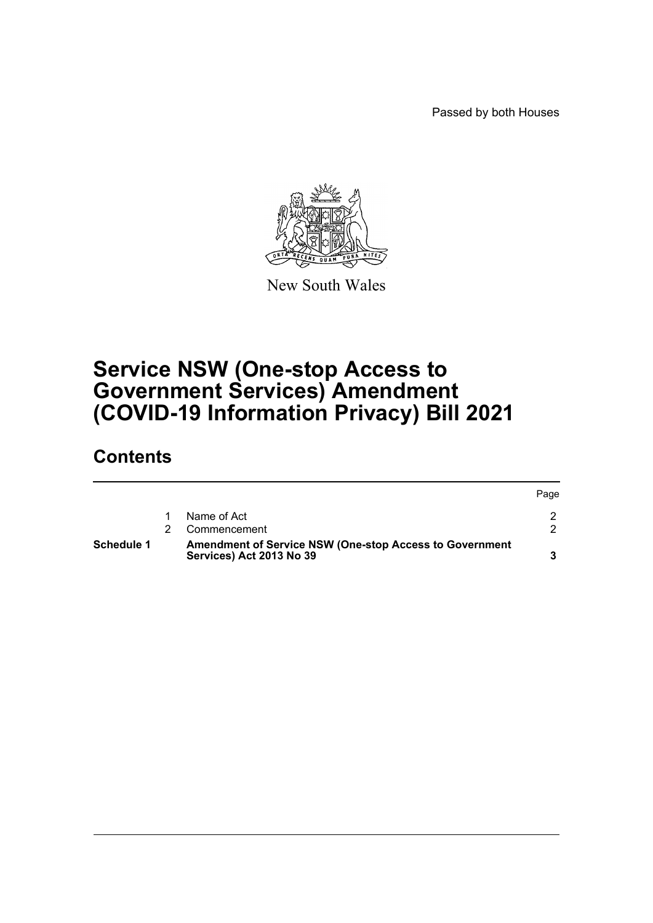Passed by both Houses



New South Wales

# **Service NSW (One-stop Access to Government Services) Amendment (COVID-19 Information Privacy) Bill 2021**

## **Contents**

| Schedule 1 | <b>Amendment of Service NSW (One-stop Access to Government</b><br>Services) Act 2013 No 39 |      |
|------------|--------------------------------------------------------------------------------------------|------|
|            | Commencement                                                                               |      |
|            | Name of Act                                                                                |      |
|            |                                                                                            | Page |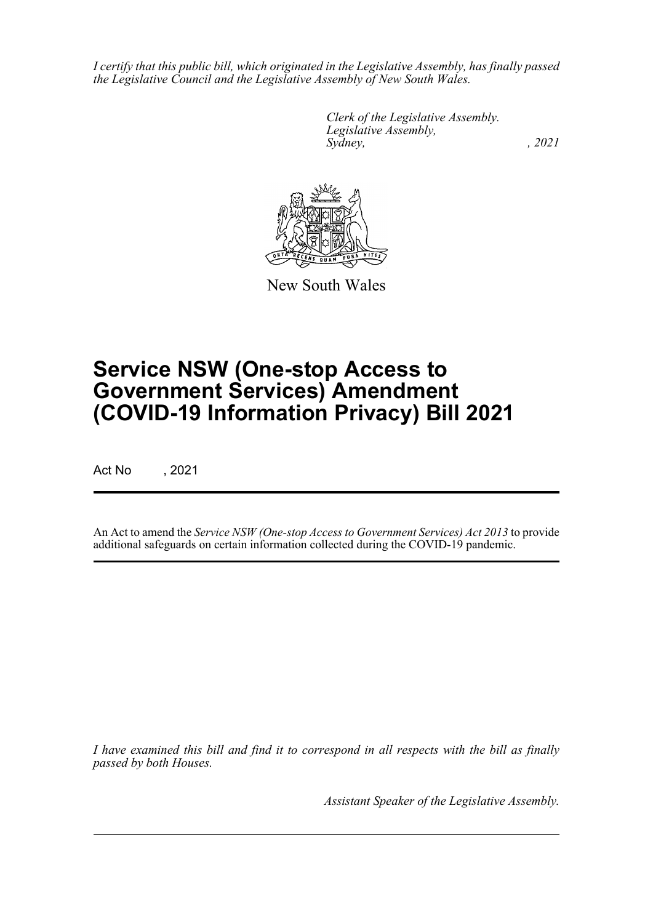*I certify that this public bill, which originated in the Legislative Assembly, has finally passed the Legislative Council and the Legislative Assembly of New South Wales.*

> *Clerk of the Legislative Assembly. Legislative Assembly, Sydney, , 2021*



New South Wales

# **Service NSW (One-stop Access to Government Services) Amendment (COVID-19 Information Privacy) Bill 2021**

Act No , 2021

An Act to amend the *Service NSW (One-stop Access to Government Services) Act 2013* to provide additional safeguards on certain information collected during the COVID-19 pandemic.

*I have examined this bill and find it to correspond in all respects with the bill as finally passed by both Houses.*

*Assistant Speaker of the Legislative Assembly.*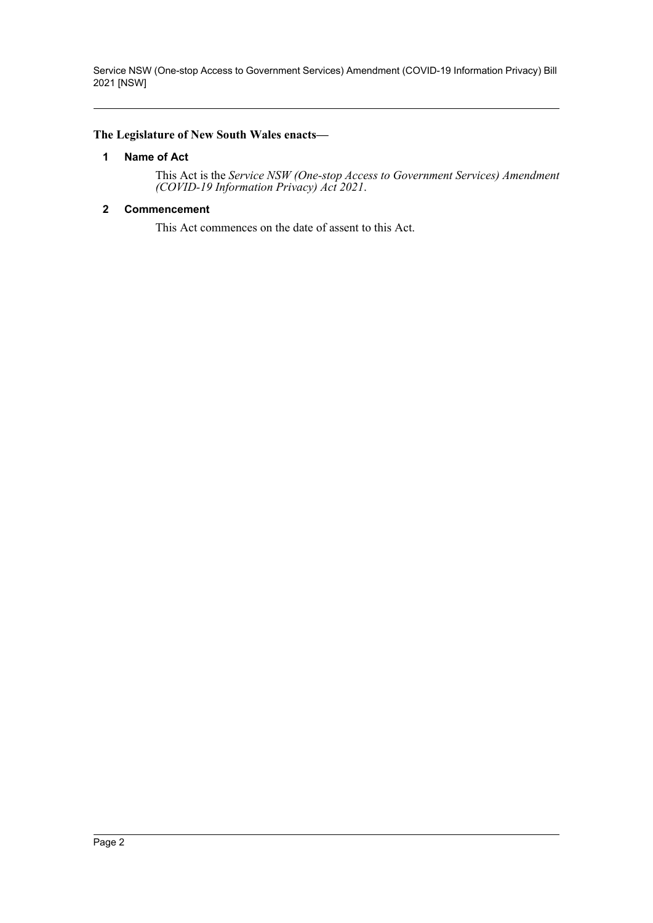Service NSW (One-stop Access to Government Services) Amendment (COVID-19 Information Privacy) Bill 2021 [NSW]

#### <span id="page-2-0"></span>**The Legislature of New South Wales enacts—**

#### **1 Name of Act**

This Act is the *Service NSW (One-stop Access to Government Services) Amendment (COVID-19 Information Privacy) Act 2021*.

#### <span id="page-2-1"></span>**2 Commencement**

This Act commences on the date of assent to this Act.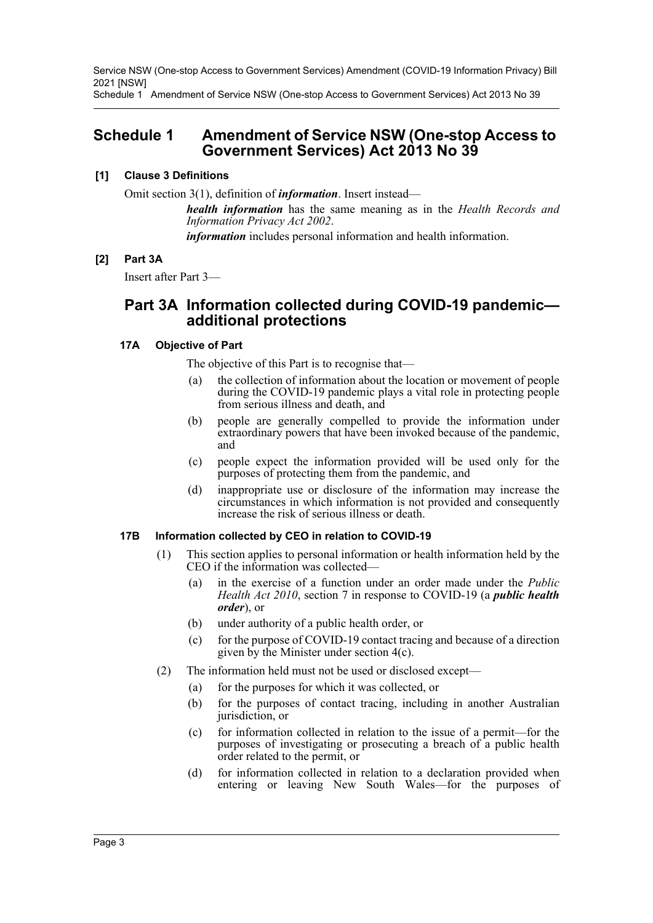Service NSW (One-stop Access to Government Services) Amendment (COVID-19 Information Privacy) Bill 2021 [NSW]

Schedule 1 Amendment of Service NSW (One-stop Access to Government Services) Act 2013 No 39

### <span id="page-3-0"></span>**Schedule 1 Amendment of Service NSW (One-stop Access to Government Services) Act 2013 No 39**

#### **[1] Clause 3 Definitions**

Omit section 3(1), definition of *information*. Insert instead—

*health information* has the same meaning as in the *Health Records and Information Privacy Act 2002*.

*information* includes personal information and health information.

#### **[2] Part 3A**

Insert after Part 3—

### **Part 3A Information collected during COVID-19 pandemic additional protections**

#### **17A Objective of Part**

The objective of this Part is to recognise that—

- (a) the collection of information about the location or movement of people during the COVID-19 pandemic plays a vital role in protecting people from serious illness and death, and
- (b) people are generally compelled to provide the information under extraordinary powers that have been invoked because of the pandemic, and
- (c) people expect the information provided will be used only for the purposes of protecting them from the pandemic, and
- (d) inappropriate use or disclosure of the information may increase the circumstances in which information is not provided and consequently increase the risk of serious illness or death.

#### **17B Information collected by CEO in relation to COVID-19**

- (1) This section applies to personal information or health information held by the CEO if the information was collected—
	- (a) in the exercise of a function under an order made under the *Public Health Act 2010*, section 7 in response to COVID-19 (a *public health order*), or
	- (b) under authority of a public health order, or
	- (c) for the purpose of COVID-19 contact tracing and because of a direction given by the Minister under section 4(c).
- (2) The information held must not be used or disclosed except—
	- (a) for the purposes for which it was collected, or
	- (b) for the purposes of contact tracing, including in another Australian jurisdiction, or
	- (c) for information collected in relation to the issue of a permit—for the purposes of investigating or prosecuting a breach of a public health order related to the permit, or
	- (d) for information collected in relation to a declaration provided when entering or leaving New South Wales—for the purposes of